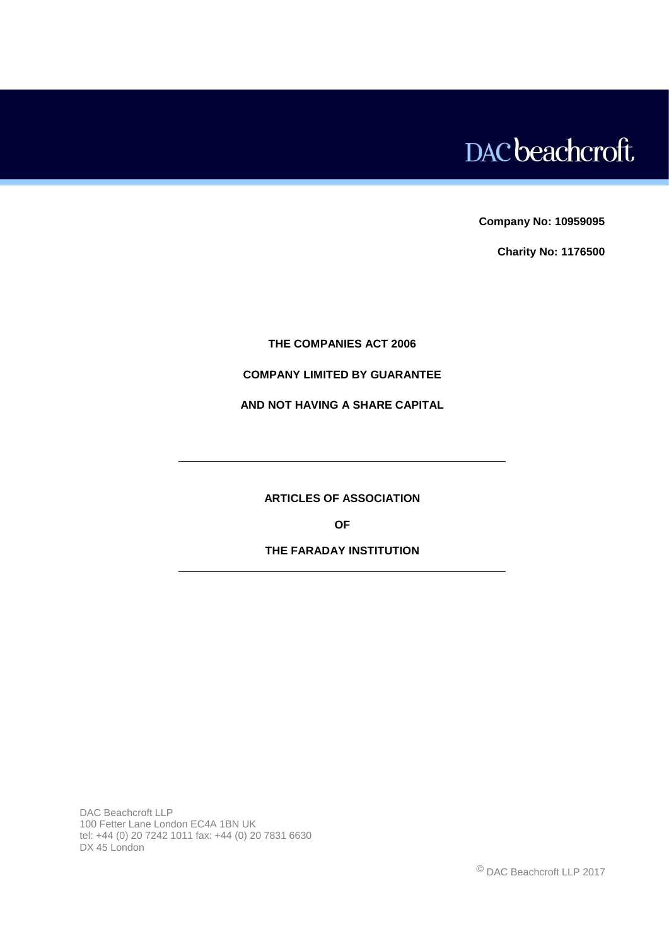# DAC beachcroft

**Company No: 10959095**

**Charity No: 1176500**

# **THE COMPANIES ACT 2006**

# **COMPANY LIMITED BY GUARANTEE**

# **AND NOT HAVING A SHARE CAPITAL**

**ARTICLES OF ASSOCIATION**

**OF**

# **THE FARADAY INSTITUTION**

DAC Beachcroft LLP 100 Fetter Lane London EC4A 1BN UK tel: +44 (0) 20 7242 1011 fax: +44 (0) 20 7831 6630 DX 45 London

© DAC Beachcroft LLP 2017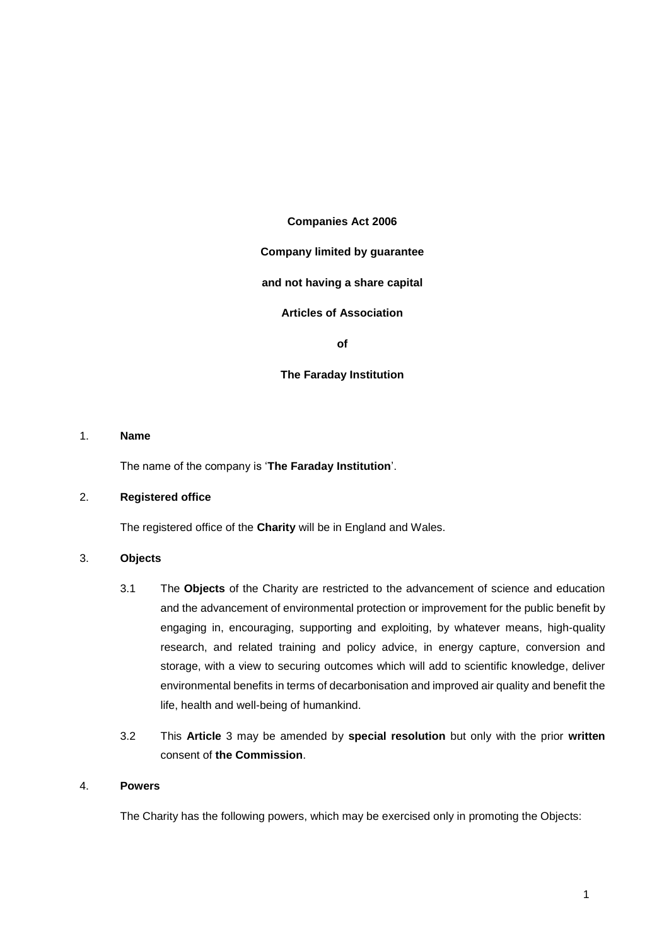#### **Companies Act 2006**

## **Company limited by guarantee**

#### **and not having a share capital**

# **Articles of Association**

**of**

#### **The Faraday Institution**

#### 1. **Name**

The name of the company is '**The Faraday Institution**'.

#### 2. **Registered office**

The registered office of the **Charity** will be in England and Wales.

#### <span id="page-1-0"></span>3. **Objects**

- 3.1 The **Objects** of the Charity are restricted to the advancement of science and education and the advancement of environmental protection or improvement for the public benefit by engaging in, encouraging, supporting and exploiting, by whatever means, high-quality research, and related training and policy advice, in energy capture, conversion and storage, with a view to securing outcomes which will add to scientific knowledge, deliver environmental benefits in terms of decarbonisation and improved air quality and benefit the life, health and well-being of humankind.
- 3.2 This **Article** [3](#page-1-0) may be amended by **special resolution** but only with the prior **written**  consent of **the Commission**.

#### 4. **Powers**

The Charity has the following powers, which may be exercised only in promoting the Objects: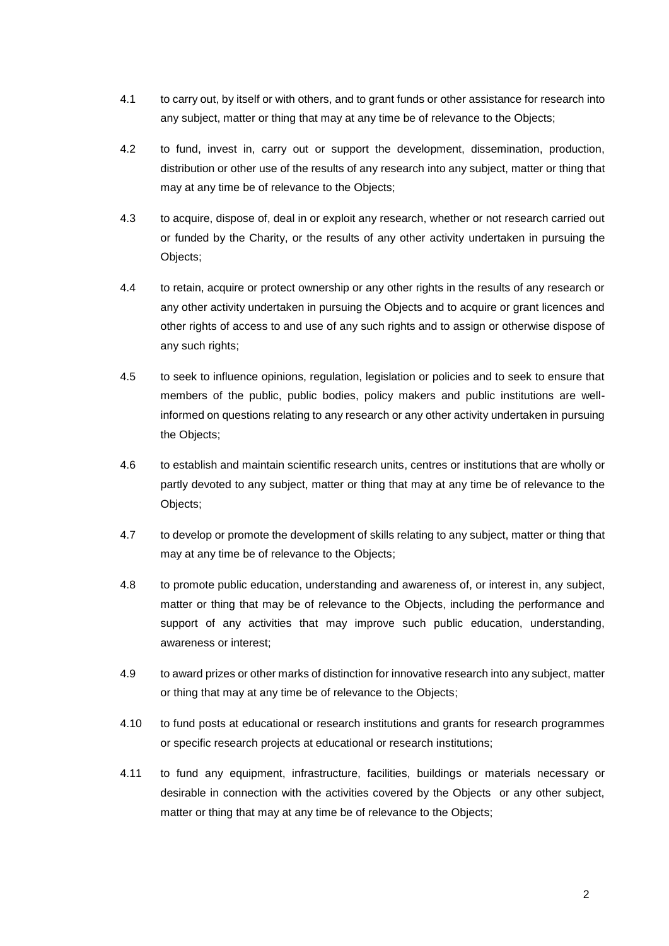- 4.1 to carry out, by itself or with others, and to grant funds or other assistance for research into any subject, matter or thing that may at any time be of relevance to the Objects;
- 4.2 to fund, invest in, carry out or support the development, dissemination, production, distribution or other use of the results of any research into any subject, matter or thing that may at any time be of relevance to the Objects;
- 4.3 to acquire, dispose of, deal in or exploit any research, whether or not research carried out or funded by the Charity, or the results of any other activity undertaken in pursuing the Objects;
- 4.4 to retain, acquire or protect ownership or any other rights in the results of any research or any other activity undertaken in pursuing the Objects and to acquire or grant licences and other rights of access to and use of any such rights and to assign or otherwise dispose of any such rights:
- 4.5 to seek to influence opinions, regulation, legislation or policies and to seek to ensure that members of the public, public bodies, policy makers and public institutions are wellinformed on questions relating to any research or any other activity undertaken in pursuing the Objects;
- 4.6 to establish and maintain scientific research units, centres or institutions that are wholly or partly devoted to any subject, matter or thing that may at any time be of relevance to the Objects;
- 4.7 to develop or promote the development of skills relating to any subject, matter or thing that may at any time be of relevance to the Objects;
- 4.8 to promote public education, understanding and awareness of, or interest in, any subject, matter or thing that may be of relevance to the Objects, including the performance and support of any activities that may improve such public education, understanding, awareness or interest;
- 4.9 to award prizes or other marks of distinction for innovative research into any subject, matter or thing that may at any time be of relevance to the Objects;
- 4.10 to fund posts at educational or research institutions and grants for research programmes or specific research projects at educational or research institutions;
- 4.11 to fund any equipment, infrastructure, facilities, buildings or materials necessary or desirable in connection with the activities covered by the Objects or any other subject, matter or thing that may at any time be of relevance to the Objects;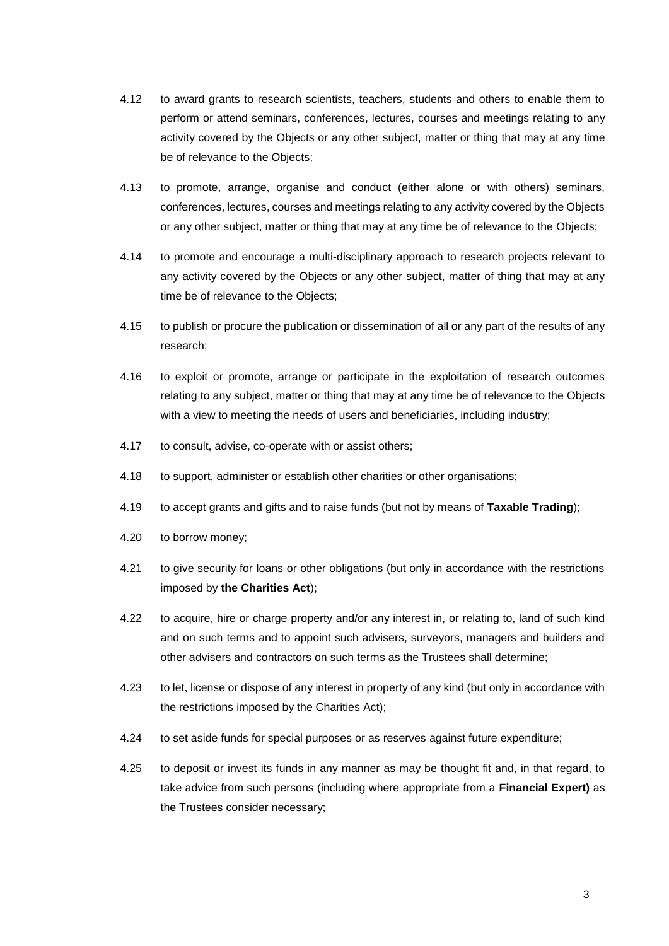- 4.12 to award grants to research scientists, teachers, students and others to enable them to perform or attend seminars, conferences, lectures, courses and meetings relating to any activity covered by the Objects or any other subject, matter or thing that may at any time be of relevance to the Objects;
- 4.13 to promote, arrange, organise and conduct (either alone or with others) seminars, conferences, lectures, courses and meetings relating to any activity covered by the Objects or any other subject, matter or thing that may at any time be of relevance to the Objects;
- 4.14 to promote and encourage a multi-disciplinary approach to research projects relevant to any activity covered by the Objects or any other subject, matter of thing that may at any time be of relevance to the Objects;
- 4.15 to publish or procure the publication or dissemination of all or any part of the results of any research;
- 4.16 to exploit or promote, arrange or participate in the exploitation of research outcomes relating to any subject, matter or thing that may at any time be of relevance to the Objects with a view to meeting the needs of users and beneficiaries, including industry;
- 4.17 to consult, advise, co-operate with or assist others;
- 4.18 to support, administer or establish other charities or other organisations;
- 4.19 to accept grants and gifts and to raise funds (but not by means of **Taxable Trading**);
- 4.20 to borrow money;
- 4.21 to give security for loans or other obligations (but only in accordance with the restrictions imposed by **the Charities Act**);
- 4.22 to acquire, hire or charge property and/or any interest in, or relating to, land of such kind and on such terms and to appoint such advisers, surveyors, managers and builders and other advisers and contractors on such terms as the Trustees shall determine;
- 4.23 to let, license or dispose of any interest in property of any kind (but only in accordance with the restrictions imposed by the Charities Act);
- 4.24 to set aside funds for special purposes or as reserves against future expenditure;
- 4.25 to deposit or invest its funds in any manner as may be thought fit and, in that regard, to take advice from such persons (including where appropriate from a **Financial Expert)** as the Trustees consider necessary;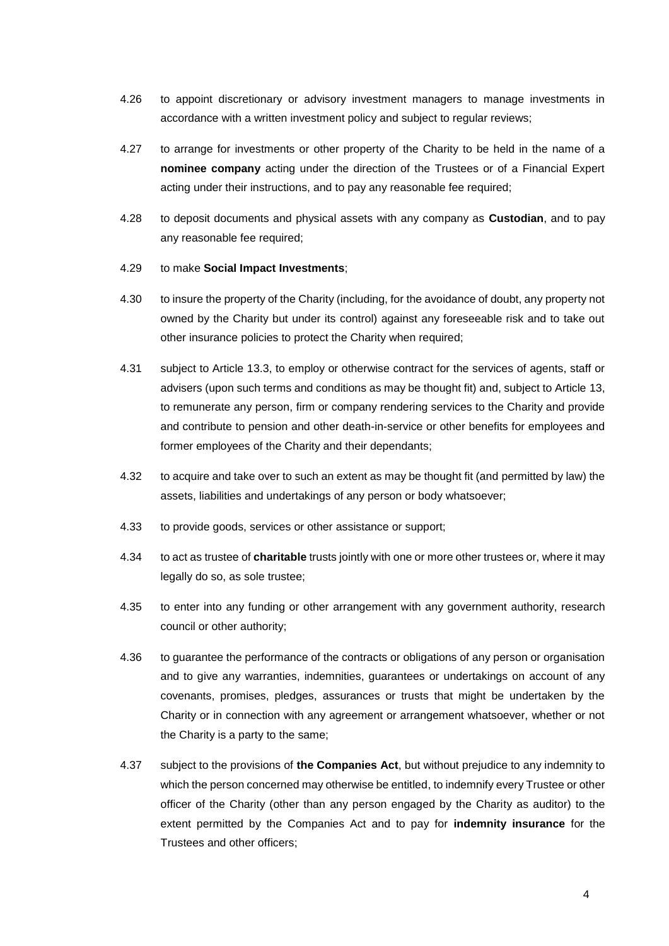- 4.26 to appoint discretionary or advisory investment managers to manage investments in accordance with a written investment policy and subject to regular reviews;
- 4.27 to arrange for investments or other property of the Charity to be held in the name of a **nominee company** acting under the direction of the Trustees or of a Financial Expert acting under their instructions, and to pay any reasonable fee required;
- 4.28 to deposit documents and physical assets with any company as **Custodian**, and to pay any reasonable fee required;

#### 4.29 to make **Social Impact Investments**;

- 4.30 to insure the property of the Charity (including, for the avoidance of doubt, any property not owned by the Charity but under its control) against any foreseeable risk and to take out other insurance policies to protect the Charity when required;
- 4.31 subject to Article 13.3, to employ or otherwise contract for the services of agents, staff or advisers (upon such terms and conditions as may be thought fit) and, subject to Article 13, to remunerate any person, firm or company rendering services to the Charity and provide and contribute to pension and other death-in-service or other benefits for employees and former employees of the Charity and their dependants;
- 4.32 to acquire and take over to such an extent as may be thought fit (and permitted by law) the assets, liabilities and undertakings of any person or body whatsoever;
- 4.33 to provide goods, services or other assistance or support;
- 4.34 to act as trustee of **charitable** trusts jointly with one or more other trustees or, where it may legally do so, as sole trustee;
- 4.35 to enter into any funding or other arrangement with any government authority, research council or other authority;
- 4.36 to guarantee the performance of the contracts or obligations of any person or organisation and to give any warranties, indemnities, guarantees or undertakings on account of any covenants, promises, pledges, assurances or trusts that might be undertaken by the Charity or in connection with any agreement or arrangement whatsoever, whether or not the Charity is a party to the same;
- 4.37 subject to the provisions of **the Companies Act**, but without prejudice to any indemnity to which the person concerned may otherwise be entitled, to indemnify every Trustee or other officer of the Charity (other than any person engaged by the Charity as auditor) to the extent permitted by the Companies Act and to pay for **indemnity insurance** for the Trustees and other officers;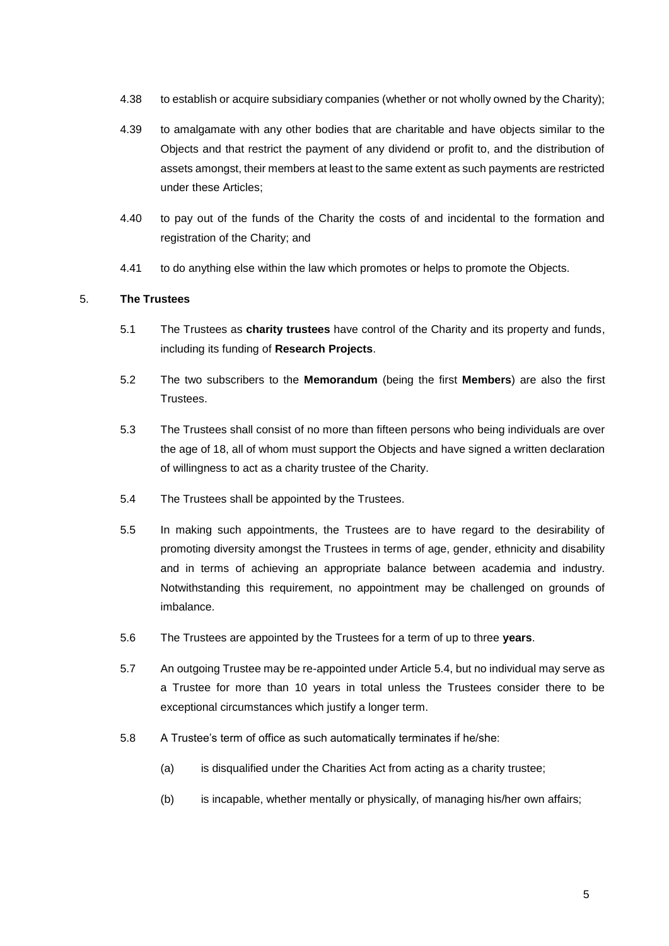- 4.38 to establish or acquire subsidiary companies (whether or not wholly owned by the Charity);
- 4.39 to amalgamate with any other bodies that are charitable and have objects similar to the Objects and that restrict the payment of any dividend or profit to, and the distribution of assets amongst, their members at least to the same extent as such payments are restricted under these Articles;
- 4.40 to pay out of the funds of the Charity the costs of and incidental to the formation and registration of the Charity; and
- 4.41 to do anything else within the law which promotes or helps to promote the Objects.

## 5. **The Trustees**

- 5.1 The Trustees as **charity trustees** have control of the Charity and its property and funds, including its funding of **Research Projects**.
- 5.2 The two subscribers to the **Memorandum** (being the first **Members**) are also the first **Trustees**
- 5.3 The Trustees shall consist of no more than fifteen persons who being individuals are over the age of 18, all of whom must support the Objects and have signed a written declaration of willingness to act as a charity trustee of the Charity.
- 5.4 The Trustees shall be appointed by the Trustees.
- 5.5 In making such appointments, the Trustees are to have regard to the desirability of promoting diversity amongst the Trustees in terms of age, gender, ethnicity and disability and in terms of achieving an appropriate balance between academia and industry. Notwithstanding this requirement, no appointment may be challenged on grounds of imbalance.
- 5.6 The Trustees are appointed by the Trustees for a term of up to three **years**.
- <span id="page-5-0"></span>5.7 An outgoing Trustee may be re-appointed under Article 5.4, but no individual may serve as a Trustee for more than 10 years in total unless the Trustees consider there to be exceptional circumstances which justify a longer term.
- 5.8 A Trustee's term of office as such automatically terminates if he/she:
	- (a) is disqualified under the Charities Act from acting as a charity trustee;
	- (b) is incapable, whether mentally or physically, of managing his/her own affairs;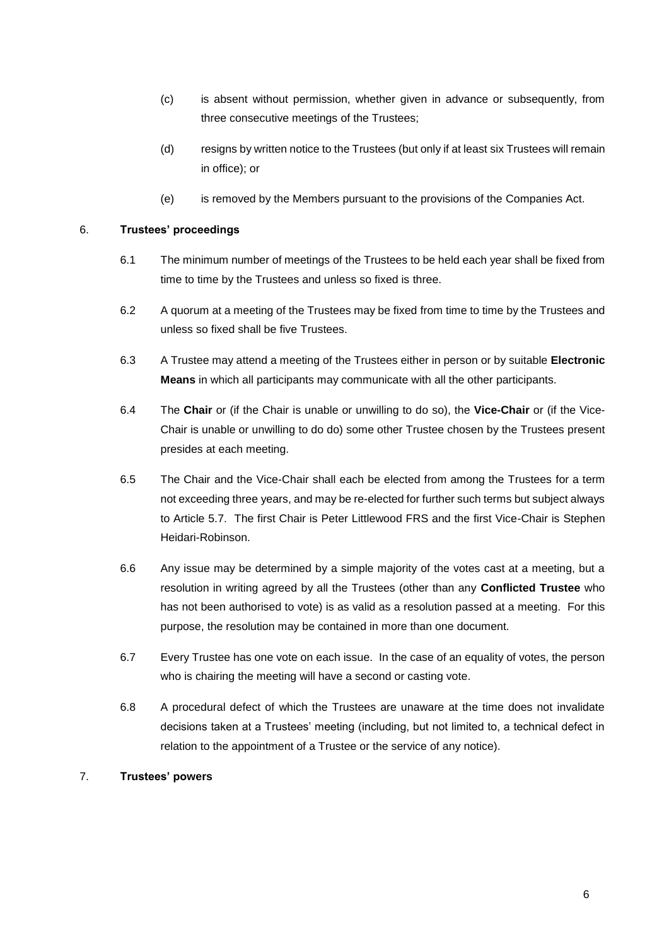- (c) is absent without permission, whether given in advance or subsequently, from three consecutive meetings of the Trustees;
- (d) resigns by written notice to the Trustees (but only if at least six Trustees will remain in office); or
- (e) is removed by the Members pursuant to the provisions of the Companies Act.

# 6. **Trustees' proceedings**

- 6.1 The minimum number of meetings of the Trustees to be held each year shall be fixed from time to time by the Trustees and unless so fixed is three.
- 6.2 A quorum at a meeting of the Trustees may be fixed from time to time by the Trustees and unless so fixed shall be five Trustees.
- 6.3 A Trustee may attend a meeting of the Trustees either in person or by suitable **Electronic Means** in which all participants may communicate with all the other participants.
- 6.4 The **Chair** or (if the Chair is unable or unwilling to do so), the **Vice-Chair** or (if the Vice-Chair is unable or unwilling to do do) some other Trustee chosen by the Trustees present presides at each meeting.
- 6.5 The Chair and the Vice-Chair shall each be elected from among the Trustees for a term not exceeding three years, and may be re-elected for further such terms but subject always to Article [5.7.](#page-5-0) The first Chair is Peter Littlewood FRS and the first Vice-Chair is Stephen Heidari-Robinson.
- 6.6 Any issue may be determined by a simple majority of the votes cast at a meeting, but a resolution in writing agreed by all the Trustees (other than any **Conflicted Trustee** who has not been authorised to vote) is as valid as a resolution passed at a meeting. For this purpose, the resolution may be contained in more than one document.
- 6.7 Every Trustee has one vote on each issue. In the case of an equality of votes, the person who is chairing the meeting will have a second or casting vote.
- 6.8 A procedural defect of which the Trustees are unaware at the time does not invalidate decisions taken at a Trustees' meeting (including, but not limited to, a technical defect in relation to the appointment of a Trustee or the service of any notice).

## 7. **Trustees' powers**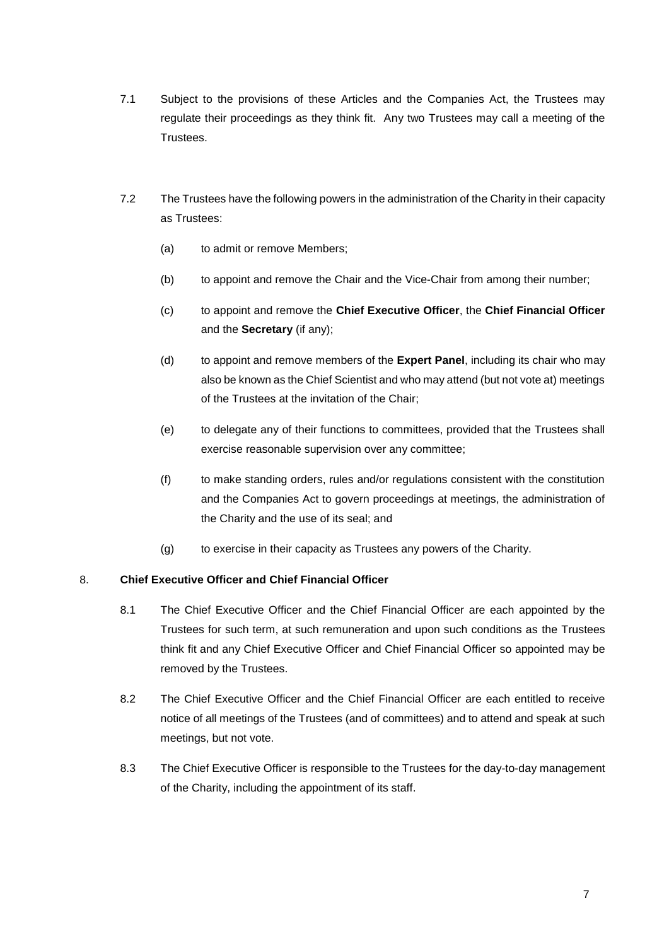- 7.1 Subject to the provisions of these Articles and the Companies Act, the Trustees may regulate their proceedings as they think fit. Any two Trustees may call a meeting of the Trustees.
- 7.2 The Trustees have the following powers in the administration of the Charity in their capacity as Trustees:
	- (a) to admit or remove Members;
	- (b) to appoint and remove the Chair and the Vice-Chair from among their number;
	- (c) to appoint and remove the **Chief Executive Officer**, the **Chief Financial Officer** and the **Secretary** (if any);
	- (d) to appoint and remove members of the **Expert Panel**, including its chair who may also be known as the Chief Scientist and who may attend (but not vote at) meetings of the Trustees at the invitation of the Chair;
	- (e) to delegate any of their functions to committees, provided that the Trustees shall exercise reasonable supervision over any committee;
	- (f) to make standing orders, rules and/or regulations consistent with the constitution and the Companies Act to govern proceedings at meetings, the administration of the Charity and the use of its seal; and
	- (g) to exercise in their capacity as Trustees any powers of the Charity.

## 8. **Chief Executive Officer and Chief Financial Officer**

- 8.1 The Chief Executive Officer and the Chief Financial Officer are each appointed by the Trustees for such term, at such remuneration and upon such conditions as the Trustees think fit and any Chief Executive Officer and Chief Financial Officer so appointed may be removed by the Trustees.
- 8.2 The Chief Executive Officer and the Chief Financial Officer are each entitled to receive notice of all meetings of the Trustees (and of committees) and to attend and speak at such meetings, but not vote.
- 8.3 The Chief Executive Officer is responsible to the Trustees for the day-to-day management of the Charity, including the appointment of its staff.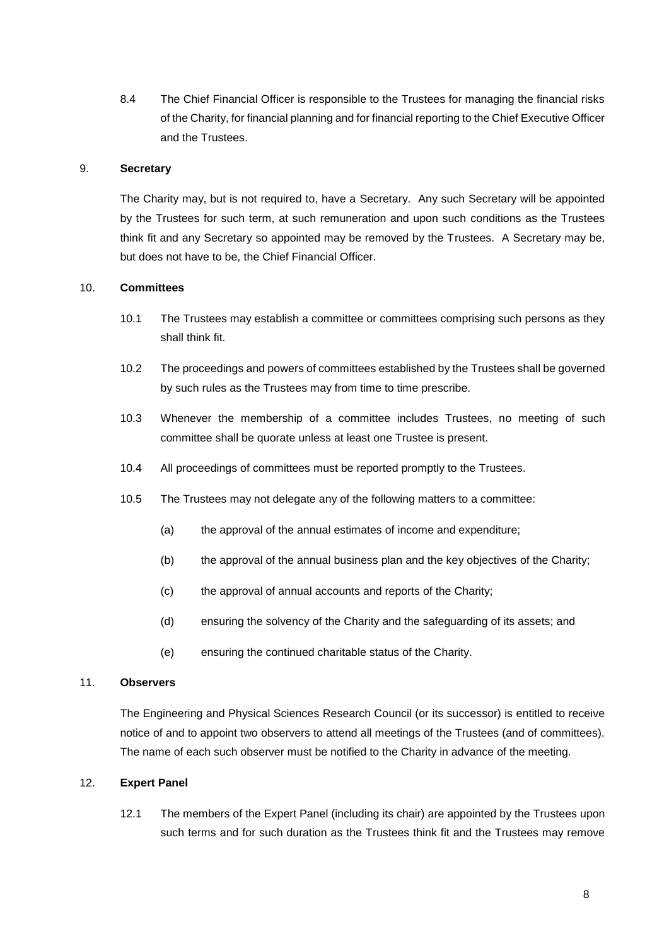8.4 The Chief Financial Officer is responsible to the Trustees for managing the financial risks of the Charity, for financial planning and for financial reporting to the Chief Executive Officer and the Trustees.

## 9. **Secretary**

The Charity may, but is not required to, have a Secretary. Any such Secretary will be appointed by the Trustees for such term, at such remuneration and upon such conditions as the Trustees think fit and any Secretary so appointed may be removed by the Trustees. A Secretary may be, but does not have to be, the Chief Financial Officer.

#### 10. **Committees**

- 10.1 The Trustees may establish a committee or committees comprising such persons as they shall think fit.
- 10.2 The proceedings and powers of committees established by the Trustees shall be governed by such rules as the Trustees may from time to time prescribe.
- 10.3 Whenever the membership of a committee includes Trustees, no meeting of such committee shall be quorate unless at least one Trustee is present.
- 10.4 All proceedings of committees must be reported promptly to the Trustees.
- 10.5 The Trustees may not delegate any of the following matters to a committee:
	- (a) the approval of the annual estimates of income and expenditure;
	- (b) the approval of the annual business plan and the key objectives of the Charity;
	- (c) the approval of annual accounts and reports of the Charity;
	- (d) ensuring the solvency of the Charity and the safeguarding of its assets; and
	- (e) ensuring the continued charitable status of the Charity.

## 11. **Observers**

The Engineering and Physical Sciences Research Council (or its successor) is entitled to receive notice of and to appoint two observers to attend all meetings of the Trustees (and of committees). The name of each such observer must be notified to the Charity in advance of the meeting.

#### 12. **Expert Panel**

12.1 The members of the Expert Panel (including its chair) are appointed by the Trustees upon such terms and for such duration as the Trustees think fit and the Trustees may remove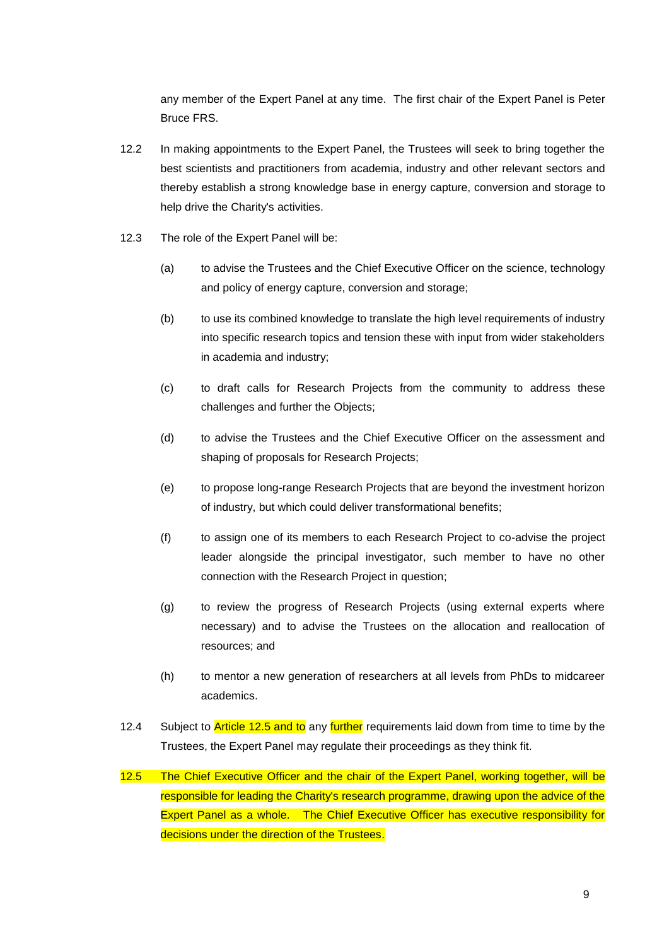any member of the Expert Panel at any time. The first chair of the Expert Panel is Peter Bruce FRS.

- 12.2 In making appointments to the Expert Panel, the Trustees will seek to bring together the best scientists and practitioners from academia, industry and other relevant sectors and thereby establish a strong knowledge base in energy capture, conversion and storage to help drive the Charity's activities.
- 12.3 The role of the Expert Panel will be:
	- (a) to advise the Trustees and the Chief Executive Officer on the science, technology and policy of energy capture, conversion and storage;
	- (b) to use its combined knowledge to translate the high level requirements of industry into specific research topics and tension these with input from wider stakeholders in academia and industry;
	- (c) to draft calls for Research Projects from the community to address these challenges and further the Objects;
	- (d) to advise the Trustees and the Chief Executive Officer on the assessment and shaping of proposals for Research Projects;
	- (e) to propose long-range Research Projects that are beyond the investment horizon of industry, but which could deliver transformational benefits;
	- (f) to assign one of its members to each Research Project to co-advise the project leader alongside the principal investigator, such member to have no other connection with the Research Project in question;
	- (g) to review the progress of Research Projects (using external experts where necessary) and to advise the Trustees on the allocation and reallocation of resources; and
	- (h) to mentor a new generation of researchers at all levels from PhDs to midcareer academics.
- 12.4 Subject to **Article 12.5 and to** any **further** requirements laid down from time to time by the Trustees, the Expert Panel may regulate their proceedings as they think fit.
- 12.5 The Chief Executive Officer and the chair of the Expert Panel, working together, will be responsible for leading the Charity's research programme, drawing upon the advice of the Expert Panel as a whole. The Chief Executive Officer has executive responsibility for decisions under the direction of the Trustees.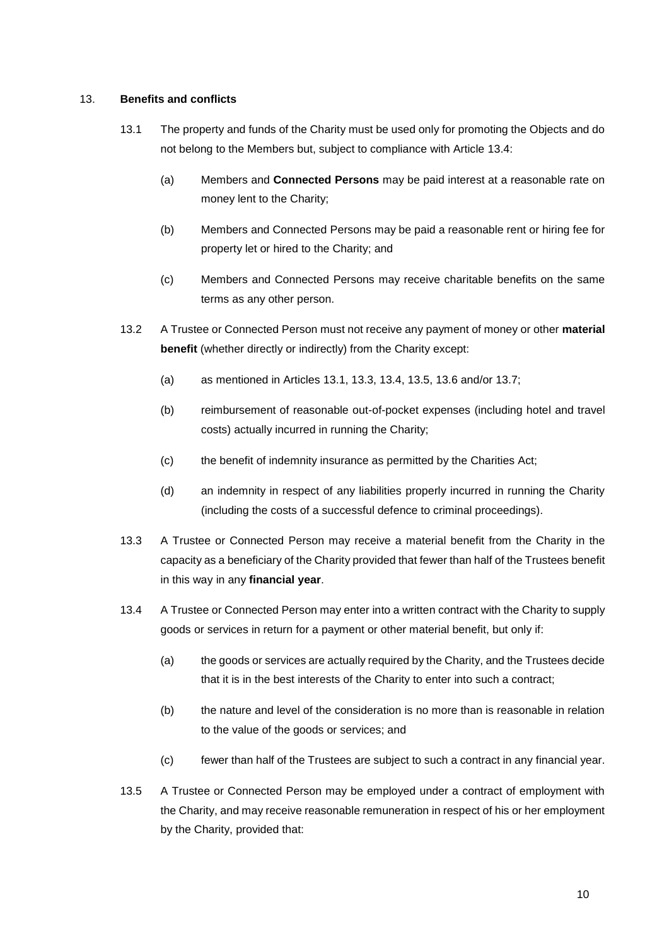## 13. **Benefits and conflicts**

- 13.1 The property and funds of the Charity must be used only for promoting the Objects and do not belong to the Members but, subject to compliance with Article 13.4:
	- (a) Members and **Connected Persons** may be paid interest at a reasonable rate on money lent to the Charity;
	- (b) Members and Connected Persons may be paid a reasonable rent or hiring fee for property let or hired to the Charity; and
	- (c) Members and Connected Persons may receive charitable benefits on the same terms as any other person.
- 13.2 A Trustee or Connected Person must not receive any payment of money or other **material benefit** (whether directly or indirectly) from the Charity except:
	- (a) as mentioned in Articles 13.1, 13.3, 13.4, 13.5, 13.6 and/or 13.7;
	- (b) reimbursement of reasonable out-of-pocket expenses (including hotel and travel costs) actually incurred in running the Charity;
	- (c) the benefit of indemnity insurance as permitted by the Charities Act;
	- (d) an indemnity in respect of any liabilities properly incurred in running the Charity (including the costs of a successful defence to criminal proceedings).
- 13.3 A Trustee or Connected Person may receive a material benefit from the Charity in the capacity as a beneficiary of the Charity provided that fewer than half of the Trustees benefit in this way in any **financial year**.
- 13.4 A Trustee or Connected Person may enter into a written contract with the Charity to supply goods or services in return for a payment or other material benefit, but only if:
	- (a) the goods or services are actually required by the Charity, and the Trustees decide that it is in the best interests of the Charity to enter into such a contract;
	- (b) the nature and level of the consideration is no more than is reasonable in relation to the value of the goods or services; and
	- (c) fewer than half of the Trustees are subject to such a contract in any financial year.
- 13.5 A Trustee or Connected Person may be employed under a contract of employment with the Charity, and may receive reasonable remuneration in respect of his or her employment by the Charity, provided that: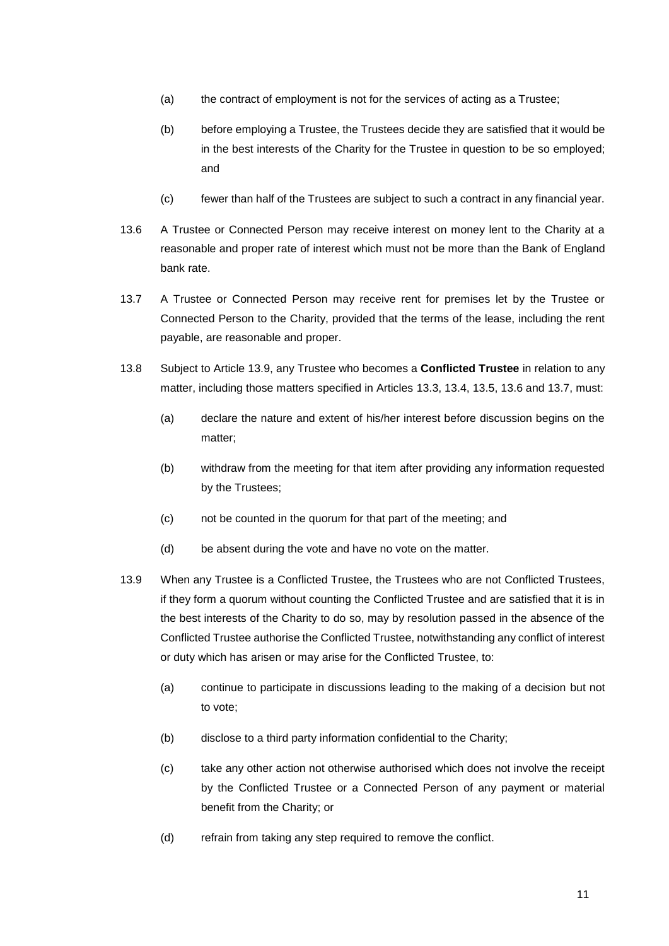- (a) the contract of employment is not for the services of acting as a Trustee;
- (b) before employing a Trustee, the Trustees decide they are satisfied that it would be in the best interests of the Charity for the Trustee in question to be so employed; and
- (c) fewer than half of the Trustees are subject to such a contract in any financial year.
- 13.6 A Trustee or Connected Person may receive interest on money lent to the Charity at a reasonable and proper rate of interest which must not be more than the Bank of England bank rate.
- 13.7 A Trustee or Connected Person may receive rent for premises let by the Trustee or Connected Person to the Charity, provided that the terms of the lease, including the rent payable, are reasonable and proper.
- 13.8 Subject to Article 13.9, any Trustee who becomes a **Conflicted Trustee** in relation to any matter, including those matters specified in Articles 13.3, 13.4, 13.5, 13.6 and 13.7, must:
	- (a) declare the nature and extent of his/her interest before discussion begins on the matter;
	- (b) withdraw from the meeting for that item after providing any information requested by the Trustees;
	- (c) not be counted in the quorum for that part of the meeting; and
	- (d) be absent during the vote and have no vote on the matter.
- 13.9 When any Trustee is a Conflicted Trustee, the Trustees who are not Conflicted Trustees, if they form a quorum without counting the Conflicted Trustee and are satisfied that it is in the best interests of the Charity to do so, may by resolution passed in the absence of the Conflicted Trustee authorise the Conflicted Trustee, notwithstanding any conflict of interest or duty which has arisen or may arise for the Conflicted Trustee, to:
	- (a) continue to participate in discussions leading to the making of a decision but not to vote;
	- (b) disclose to a third party information confidential to the Charity;
	- (c) take any other action not otherwise authorised which does not involve the receipt by the Conflicted Trustee or a Connected Person of any payment or material benefit from the Charity; or
	- (d) refrain from taking any step required to remove the conflict.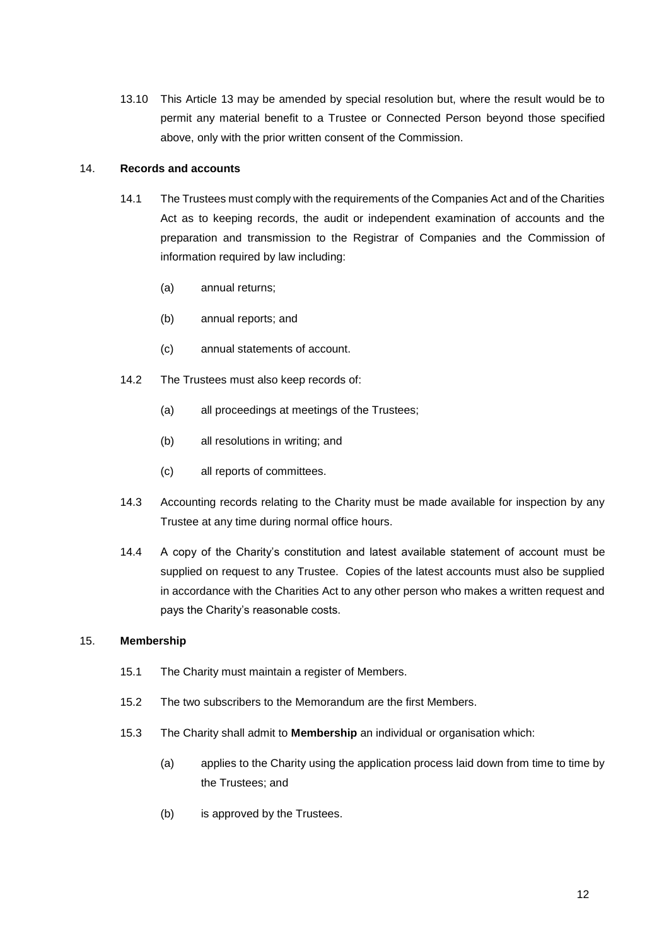13.10 This Article 13 may be amended by special resolution but, where the result would be to permit any material benefit to a Trustee or Connected Person beyond those specified above, only with the prior written consent of the Commission.

#### 14. **Records and accounts**

- 14.1 The Trustees must comply with the requirements of the Companies Act and of the Charities Act as to keeping records, the audit or independent examination of accounts and the preparation and transmission to the Registrar of Companies and the Commission of information required by law including:
	- (a) annual returns;
	- (b) annual reports; and
	- (c) annual statements of account.
- 14.2 The Trustees must also keep records of:
	- (a) all proceedings at meetings of the Trustees;
	- (b) all resolutions in writing; and
	- (c) all reports of committees.
- 14.3 Accounting records relating to the Charity must be made available for inspection by any Trustee at any time during normal office hours.
- 14.4 A copy of the Charity's constitution and latest available statement of account must be supplied on request to any Trustee. Copies of the latest accounts must also be supplied in accordance with the Charities Act to any other person who makes a written request and pays the Charity's reasonable costs.

## 15. **Membership**

- 15.1 The Charity must maintain a register of Members.
- 15.2 The two subscribers to the Memorandum are the first Members.
- 15.3 The Charity shall admit to **Membership** an individual or organisation which:
	- (a) applies to the Charity using the application process laid down from time to time by the Trustees; and
	- (b) is approved by the Trustees.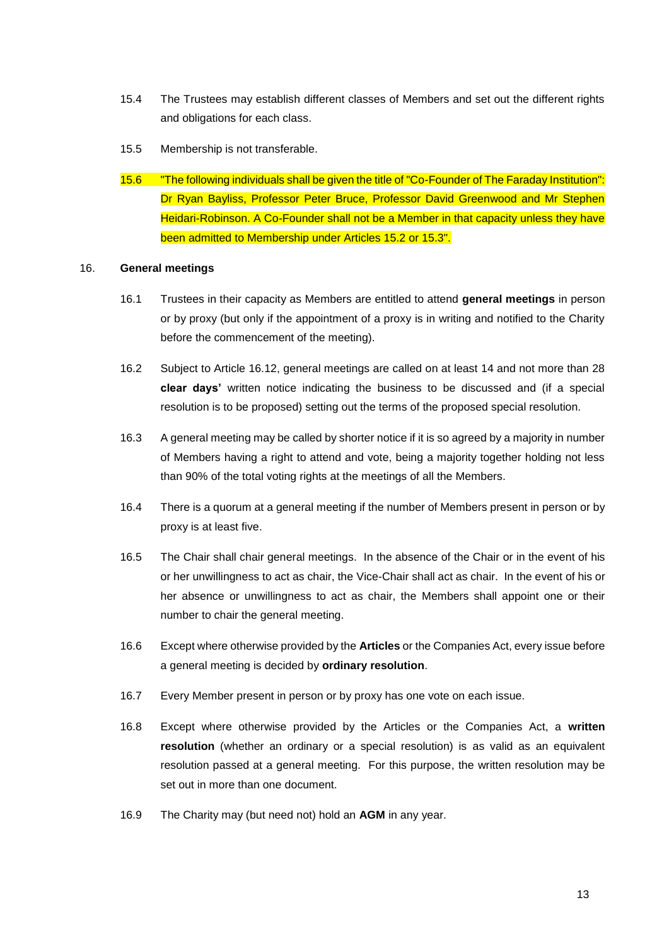- 15.4 The Trustees may establish different classes of Members and set out the different rights and obligations for each class.
- 15.5 Membership is not transferable.
- 15.6 "The following individuals shall be given the title of "Co-Founder of The Faraday Institution": Dr Ryan Bayliss, Professor Peter Bruce, Professor David Greenwood and Mr Stephen Heidari-Robinson. A Co-Founder shall not be a Member in that capacity unless they have been admitted to Membership under Articles 15.2 or 15.3".

#### 16. **General meetings**

- 16.1 Trustees in their capacity as Members are entitled to attend **general meetings** in person or by proxy (but only if the appointment of a proxy is in writing and notified to the Charity before the commencement of the meeting).
- 16.2 Subject to Article 16.12, general meetings are called on at least 14 and not more than 28 **clear days'** written notice indicating the business to be discussed and (if a special resolution is to be proposed) setting out the terms of the proposed special resolution.
- 16.3 A general meeting may be called by shorter notice if it is so agreed by a majority in number of Members having a right to attend and vote, being a majority together holding not less than 90% of the total voting rights at the meetings of all the Members.
- 16.4 There is a quorum at a general meeting if the number of Members present in person or by proxy is at least five.
- 16.5 The Chair shall chair general meetings. In the absence of the Chair or in the event of his or her unwillingness to act as chair, the Vice-Chair shall act as chair. In the event of his or her absence or unwillingness to act as chair, the Members shall appoint one or their number to chair the general meeting.
- 16.6 Except where otherwise provided by the **Articles** or the Companies Act, every issue before a general meeting is decided by **ordinary resolution**.
- 16.7 Every Member present in person or by proxy has one vote on each issue.
- 16.8 Except where otherwise provided by the Articles or the Companies Act, a **written resolution** (whether an ordinary or a special resolution) is as valid as an equivalent resolution passed at a general meeting. For this purpose, the written resolution may be set out in more than one document.
- 16.9 The Charity may (but need not) hold an **AGM** in any year.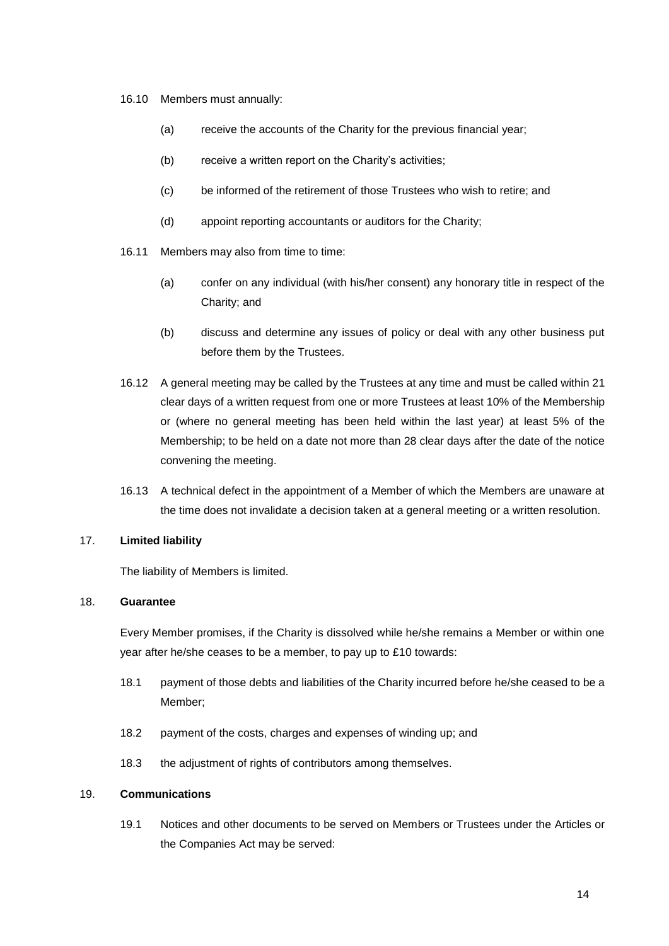- 16.10 Members must annually:
	- (a) receive the accounts of the Charity for the previous financial year;
	- (b) receive a written report on the Charity's activities;
	- (c) be informed of the retirement of those Trustees who wish to retire; and
	- (d) appoint reporting accountants or auditors for the Charity;
- 16.11 Members may also from time to time:
	- (a) confer on any individual (with his/her consent) any honorary title in respect of the Charity; and
	- (b) discuss and determine any issues of policy or deal with any other business put before them by the Trustees.
- 16.12 A general meeting may be called by the Trustees at any time and must be called within 21 clear days of a written request from one or more Trustees at least 10% of the Membership or (where no general meeting has been held within the last year) at least 5% of the Membership; to be held on a date not more than 28 clear days after the date of the notice convening the meeting.
- 16.13 A technical defect in the appointment of a Member of which the Members are unaware at the time does not invalidate a decision taken at a general meeting or a written resolution.

# 17. **Limited liability**

The liability of Members is limited.

## 18. **Guarantee**

Every Member promises, if the Charity is dissolved while he/she remains a Member or within one year after he/she ceases to be a member, to pay up to £10 towards:

- 18.1 payment of those debts and liabilities of the Charity incurred before he/she ceased to be a Member;
- 18.2 payment of the costs, charges and expenses of winding up; and
- 18.3 the adjustment of rights of contributors among themselves.

#### 19. **Communications**

19.1 Notices and other documents to be served on Members or Trustees under the Articles or the Companies Act may be served: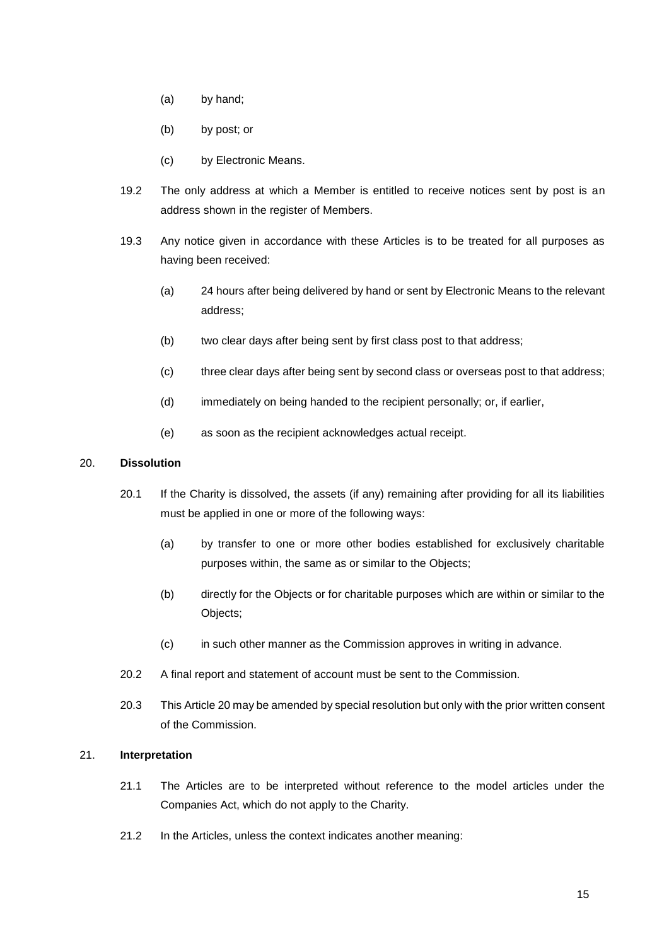- (a) by hand;
- (b) by post; or
- (c) by Electronic Means.
- 19.2 The only address at which a Member is entitled to receive notices sent by post is an address shown in the register of Members.
- 19.3 Any notice given in accordance with these Articles is to be treated for all purposes as having been received:
	- (a) 24 hours after being delivered by hand or sent by Electronic Means to the relevant address;
	- (b) two clear days after being sent by first class post to that address;
	- (c) three clear days after being sent by second class or overseas post to that address;
	- (d) immediately on being handed to the recipient personally; or, if earlier,
	- (e) as soon as the recipient acknowledges actual receipt.

## 20. **Dissolution**

- 20.1 If the Charity is dissolved, the assets (if any) remaining after providing for all its liabilities must be applied in one or more of the following ways:
	- (a) by transfer to one or more other bodies established for exclusively charitable purposes within, the same as or similar to the Objects;
	- (b) directly for the Objects or for charitable purposes which are within or similar to the Objects;
	- (c) in such other manner as the Commission approves in writing in advance.
- 20.2 A final report and statement of account must be sent to the Commission.
- 20.3 This Article 20 may be amended by special resolution but only with the prior written consent of the Commission.

# 21. **Interpretation**

- 21.1 The Articles are to be interpreted without reference to the model articles under the Companies Act, which do not apply to the Charity.
- 21.2 In the Articles, unless the context indicates another meaning: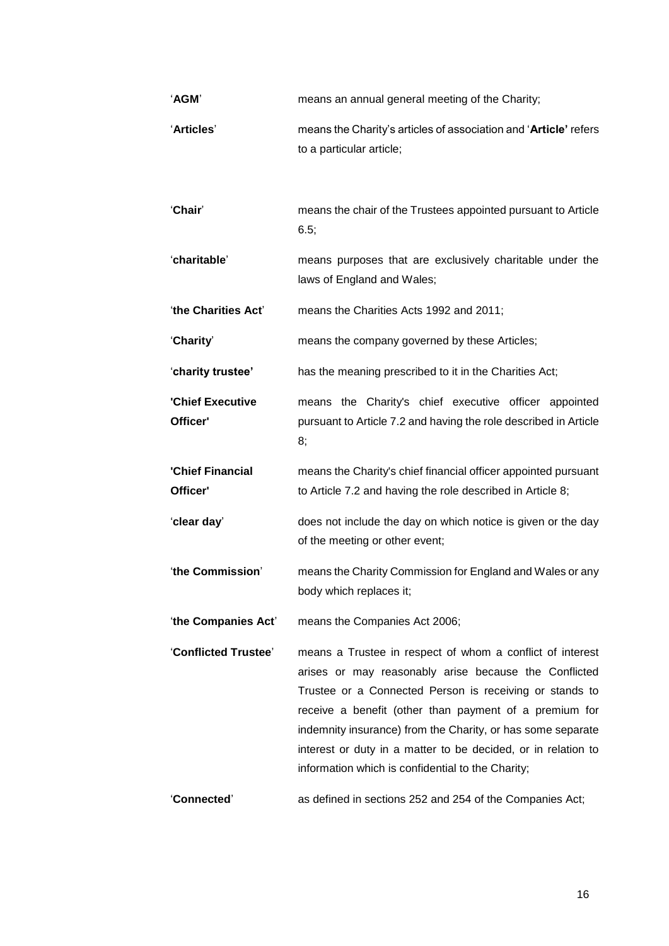| 'AGM'                        | means an annual general meeting of the Charity;                                                                                                                                                                                                                                                                                                                                                                              |
|------------------------------|------------------------------------------------------------------------------------------------------------------------------------------------------------------------------------------------------------------------------------------------------------------------------------------------------------------------------------------------------------------------------------------------------------------------------|
| 'Articles'                   | means the Charity's articles of association and 'Article' refers<br>to a particular article;                                                                                                                                                                                                                                                                                                                                 |
| 'Chair'                      | means the chair of the Trustees appointed pursuant to Article<br>6.5;                                                                                                                                                                                                                                                                                                                                                        |
| 'charitable'                 | means purposes that are exclusively charitable under the<br>laws of England and Wales;                                                                                                                                                                                                                                                                                                                                       |
| 'the Charities Act'          | means the Charities Acts 1992 and 2011;                                                                                                                                                                                                                                                                                                                                                                                      |
| 'Charity'                    | means the company governed by these Articles;                                                                                                                                                                                                                                                                                                                                                                                |
| 'charity trustee'            | has the meaning prescribed to it in the Charities Act;                                                                                                                                                                                                                                                                                                                                                                       |
| 'Chief Executive<br>Officer' | means the Charity's chief executive officer appointed<br>pursuant to Article 7.2 and having the role described in Article<br>8;                                                                                                                                                                                                                                                                                              |
| 'Chief Financial<br>Officer' | means the Charity's chief financial officer appointed pursuant<br>to Article 7.2 and having the role described in Article 8;                                                                                                                                                                                                                                                                                                 |
| 'clear day'                  | does not include the day on which notice is given or the day<br>of the meeting or other event;                                                                                                                                                                                                                                                                                                                               |
| 'the Commission'             | means the Charity Commission for England and Wales or any<br>body which replaces it;                                                                                                                                                                                                                                                                                                                                         |
| 'the Companies Act'          | means the Companies Act 2006;                                                                                                                                                                                                                                                                                                                                                                                                |
| 'Conflicted Trustee'         | means a Trustee in respect of whom a conflict of interest<br>arises or may reasonably arise because the Conflicted<br>Trustee or a Connected Person is receiving or stands to<br>receive a benefit (other than payment of a premium for<br>indemnity insurance) from the Charity, or has some separate<br>interest or duty in a matter to be decided, or in relation to<br>information which is confidential to the Charity; |
| 'Connected'                  | as defined in sections 252 and 254 of the Companies Act;                                                                                                                                                                                                                                                                                                                                                                     |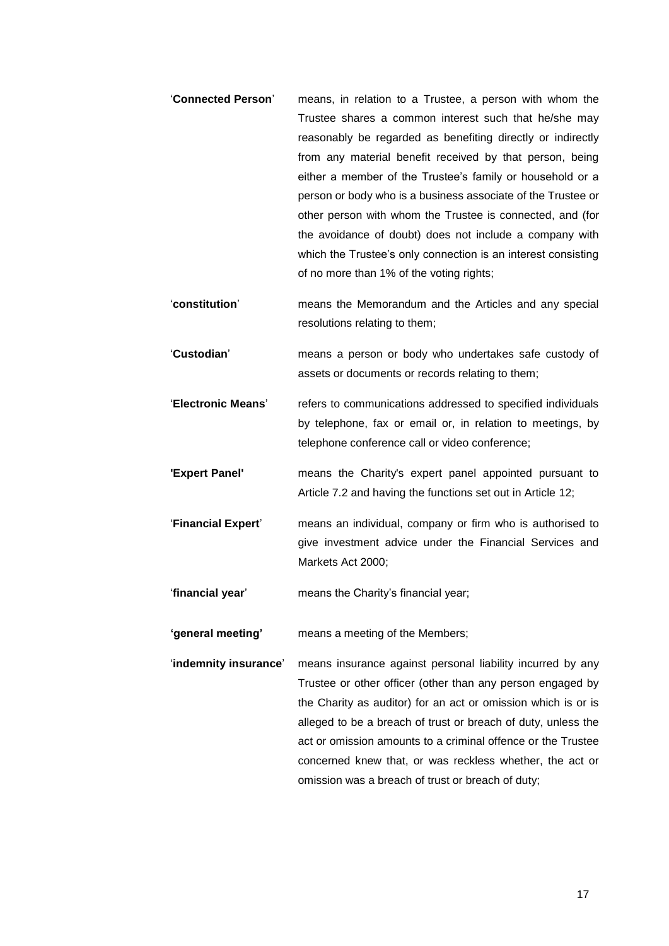- '**Connected Person**' means, in relation to a Trustee, a person with whom the Trustee shares a common interest such that he/she may reasonably be regarded as benefiting directly or indirectly from any material benefit received by that person, being either a member of the Trustee's family or household or a person or body who is a business associate of the Trustee or other person with whom the Trustee is connected, and (for the avoidance of doubt) does not include a company with which the Trustee's only connection is an interest consisting of no more than 1% of the voting rights;
- '**constitution**' means the Memorandum and the Articles and any special resolutions relating to them;
- '**Custodian**' means a person or body who undertakes safe custody of assets or documents or records relating to them;
- '**Electronic Means**' refers to communications addressed to specified individuals by telephone, fax or email or, in relation to meetings, by telephone conference call or video conference;
- **'Expert Panel'** means the Charity's expert panel appointed pursuant to Article 7.2 and having the functions set out in Article 12;
- '**Financial Expert**' means an individual, company or firm who is authorised to give investment advice under the Financial Services and Markets Act 2000;
- '**financial year**' means the Charity's financial year;
- **'general meeting'** means a meeting of the Members;
- '**indemnity insurance**' means insurance against personal liability incurred by any Trustee or other officer (other than any person engaged by the Charity as auditor) for an act or omission which is or is alleged to be a breach of trust or breach of duty, unless the act or omission amounts to a criminal offence or the Trustee concerned knew that, or was reckless whether, the act or omission was a breach of trust or breach of duty;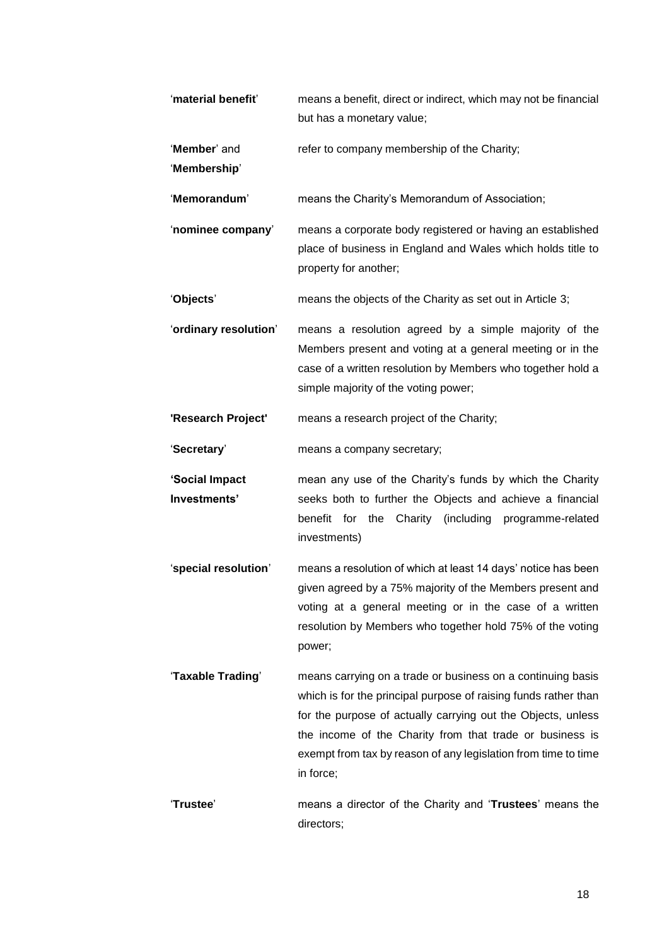| 'material benefit'             | means a benefit, direct or indirect, which may not be financial<br>but has a monetary value;                                                                                                                                                                                                                                              |
|--------------------------------|-------------------------------------------------------------------------------------------------------------------------------------------------------------------------------------------------------------------------------------------------------------------------------------------------------------------------------------------|
| 'Member' and<br>'Membership'   | refer to company membership of the Charity;                                                                                                                                                                                                                                                                                               |
| 'Memorandum'                   | means the Charity's Memorandum of Association;                                                                                                                                                                                                                                                                                            |
| 'nominee company'              | means a corporate body registered or having an established<br>place of business in England and Wales which holds title to<br>property for another;                                                                                                                                                                                        |
| 'Objects'                      | means the objects of the Charity as set out in Article 3;                                                                                                                                                                                                                                                                                 |
| 'ordinary resolution'          | means a resolution agreed by a simple majority of the<br>Members present and voting at a general meeting or in the<br>case of a written resolution by Members who together hold a<br>simple majority of the voting power;                                                                                                                 |
| 'Research Project'             | means a research project of the Charity;                                                                                                                                                                                                                                                                                                  |
| 'Secretary'                    | means a company secretary;                                                                                                                                                                                                                                                                                                                |
| 'Social Impact<br>Investments' | mean any use of the Charity's funds by which the Charity<br>seeks both to further the Objects and achieve a financial<br>benefit for the Charity (including programme-related<br>investments)                                                                                                                                             |
| 'special resolution'           | means a resolution of which at least 14 days' notice has been<br>given agreed by a 75% majority of the Members present and<br>voting at a general meeting or in the case of a written<br>resolution by Members who together hold 75% of the voting<br>power;                                                                              |
| 'Taxable Trading'              | means carrying on a trade or business on a continuing basis<br>which is for the principal purpose of raising funds rather than<br>for the purpose of actually carrying out the Objects, unless<br>the income of the Charity from that trade or business is<br>exempt from tax by reason of any legislation from time to time<br>in force; |
| 'Trustee'                      | means a director of the Charity and 'Trustees' means the<br>directors;                                                                                                                                                                                                                                                                    |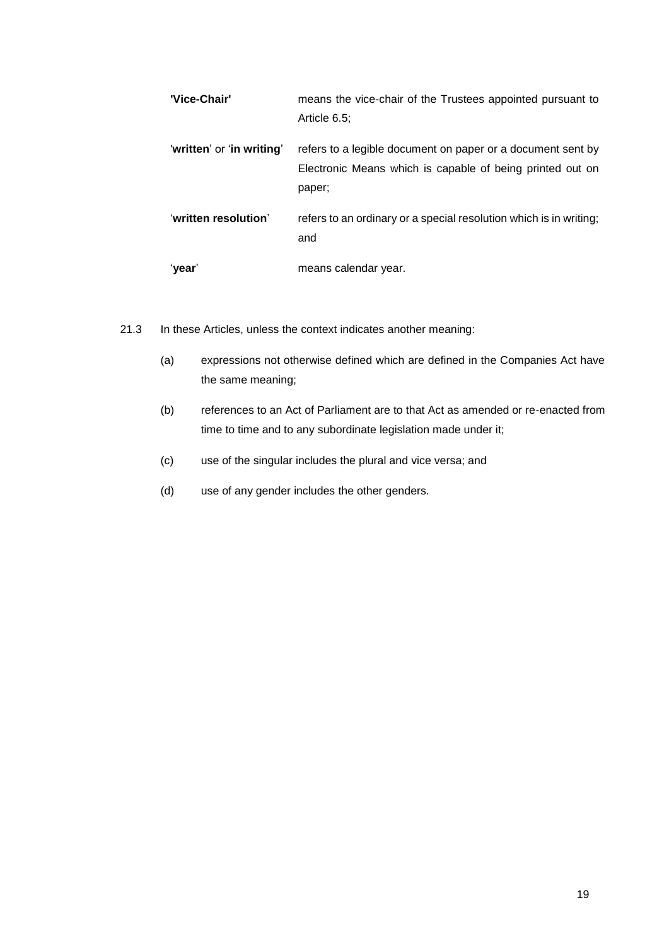| 'Vice-Chair'              | means the vice-chair of the Trustees appointed pursuant to<br>Article 6.5:                                                         |
|---------------------------|------------------------------------------------------------------------------------------------------------------------------------|
| 'written' or 'in writing' | refers to a legible document on paper or a document sent by<br>Electronic Means which is capable of being printed out on<br>paper; |
| 'written resolution'      | refers to an ordinary or a special resolution which is in writing;<br>and                                                          |
| ʻyear'                    | means calendar year.                                                                                                               |

- 21.3 In these Articles, unless the context indicates another meaning:
	- (a) expressions not otherwise defined which are defined in the Companies Act have the same meaning;
	- (b) references to an Act of Parliament are to that Act as amended or re-enacted from time to time and to any subordinate legislation made under it;
	- (c) use of the singular includes the plural and vice versa; and
	- (d) use of any gender includes the other genders.